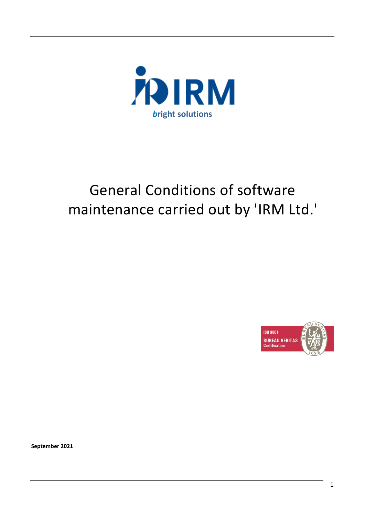

# General Conditions of software maintenance carried out by 'IRM Ltd.'



**September 2021**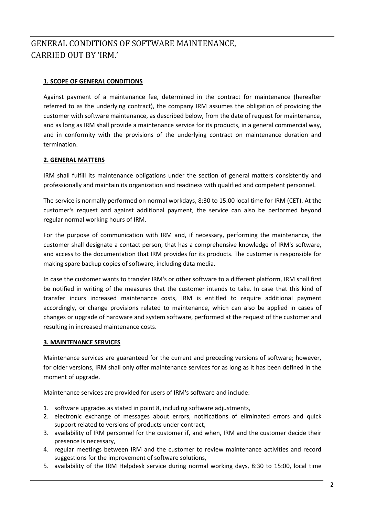# GENERAL CONDITIONS OF SOFTWARE MAINTENANCE, CARRIED OUT BY 'IRM.'

# **1. SCOPE OF GENERAL CONDITIONS**

Against payment of a maintenance fee, determined in the contract for maintenance (hereafter referred to as the underlying contract), the company IRM assumes the obligation of providing the customer with software maintenance, as described below, from the date of request for maintenance, and as long as IRM shall provide a maintenance service for its products, in a general commercial way, and in conformity with the provisions of the underlying contract on maintenance duration and termination.

## **2. GENERAL MATTERS**

IRM shall fulfill its maintenance obligations under the section of general matters consistently and professionally and maintain its organization and readiness with qualified and competent personnel.

The service is normally performed on normal workdays, 8:30 to 15.00 local time for IRM (CET). At the customer's request and against additional payment, the service can also be performed beyond regular normal working hours of IRM.

For the purpose of communication with IRM and, if necessary, performing the maintenance, the customer shall designate a contact person, that has a comprehensive knowledge of IRM's software, and access to the documentation that IRM provides for its products. The customer is responsible for making spare backup copies of software, including data media.

In case the customer wants to transfer IRM's or other software to a different platform, IRM shall first be notified in writing of the measures that the customer intends to take. In case that this kind of transfer incurs increased maintenance costs, IRM is entitled to require additional payment accordingly, or change provisions related to maintenance, which can also be applied in cases of changes or upgrade of hardware and system software, performed at the request of the customer and resulting in increased maintenance costs.

## **3. MAINTENANCE SERVICES**

Maintenance services are guaranteed for the current and preceding versions of software; however, for older versions, IRM shall only offer maintenance services for as long as it has been defined in the moment of upgrade.

Maintenance services are provided for users of IRM's software and include:

- 1. software upgrades as stated in point 8, including software adjustments,
- 2. electronic exchange of messages about errors, notifications of eliminated errors and quick support related to versions of products under contract,
- 3. availability of IRM personnel for the customer if, and when, IRM and the customer decide their presence is necessary,
- 4. regular meetings between IRM and the customer to review maintenance activities and record suggestions for the improvement of software solutions,
- 5. availability of the IRM Helpdesk service during normal working days, 8:30 to 15:00, local time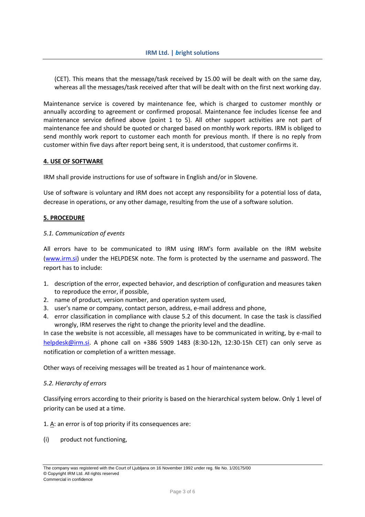(CET). This means that the message/task received by 15.00 will be dealt with on the same day, whereas all the messages/task received after that will be dealt with on the first next working day.

Maintenance service is covered by maintenance fee, which is charged to customer monthly or annually according to agreement or confirmed proposal. Maintenance fee includes license fee and maintenance service defined above (point 1 to 5). All other support activities are not part of maintenance fee and should be quoted or charged based on monthly work reports. IRM is obliged to send monthly work report to customer each month for previous month. If there is no reply from customer within five days after report being sent, it is understood, that customer confirms it.

#### **4. USE OF SOFTWARE**

IRM shall provide instructions for use of software in English and/or in Slovene.

Use of software is voluntary and IRM does not accept any responsibility for a potential loss of data, decrease in operations, or any other damage, resulting from the use of a software solution.

#### **5. PROCEDURE**

#### *5.1. Communication of events*

All errors have to be communicated to IRM using IRM's form available on the IRM website [\(www.irm.si\)](http://www.irm.si/) under the HELPDESK note. The form is protected by the username and password. The report has to include:

- 1. description of the error, expected behavior, and description of configuration and measures taken to reproduce the error, if possible,
- 2. name of product, version number, and operation system used,
- 3. user's name or company, contact person, address, e-mail address and phone,
- 4. error classification in compliance with clause 5.2 of this document. In case the task is classified wrongly, IRM reserves the right to change the priority level and the deadline.

In case the website is not accessible, all messages have to be communicated in writing, by e-mail to [helpdesk@irm.si.](mailto:helpdesk@irm.si) A phone call on +386 5909 1483 (8:30-12h, 12:30-15h CET) can only serve as notification or completion of a written message.

Other ways of receiving messages will be treated as 1 hour of maintenance work.

#### *5.2. Hierarchy of errors*

Classifying errors according to their priority is based on the hierarchical system below. Only 1 level of priority can be used at a time.

1. A: an error is of top priority if its consequences are:

(i) product not functioning,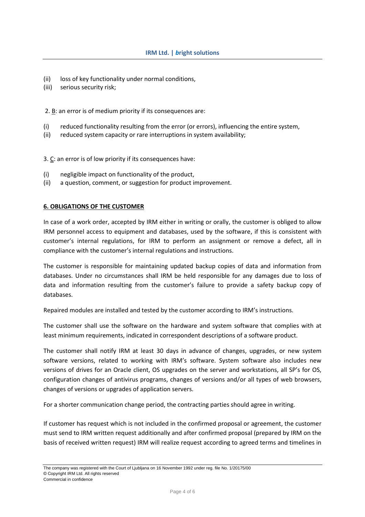- (ii) loss of key functionality under normal conditions,
- (iii) serious security risk;

2. B: an error is of medium priority if its consequences are:

- (i) reduced functionality resulting from the error (or errors), influencing the entire system,
- (ii) reduced system capacity or rare interruptions in system availability;

3. C: an error is of low priority if its consequences have:

- (i) negligible impact on functionality of the product,
- (ii) a question, comment, or suggestion for product improvement.

#### **6. OBLIGATIONS OF THE CUSTOMER**

In case of a work order, accepted by IRM either in writing or orally, the customer is obliged to allow IRM personnel access to equipment and databases, used by the software, if this is consistent with customer's internal regulations, for IRM to perform an assignment or remove a defect, all in compliance with the customer's internal regulations and instructions.

The customer is responsible for maintaining updated backup copies of data and information from databases. Under no circumstances shall IRM be held responsible for any damages due to loss of data and information resulting from the customer's failure to provide a safety backup copy of databases.

Repaired modules are installed and tested by the customer according to IRM's instructions.

The customer shall use the software on the hardware and system software that complies with at least minimum requirements, indicated in correspondent descriptions of a software product.

The customer shall notify IRM at least 30 days in advance of changes, upgrades, or new system software versions, related to working with IRM's software. System software also includes new versions of drives for an Oracle client, OS upgrades on the server and workstations, all SP's for OS, configuration changes of antivirus programs, changes of versions and/or all types of web browsers, changes of versions or upgrades of application servers.

For a shorter communication change period, the contracting parties should agree in writing.

If customer has request which is not included in the confirmed proposal or agreement, the customer must send to IRM written request additionally and after confirmed proposal (prepared by IRM on the basis of received written request) IRM will realize request according to agreed terms and timelines in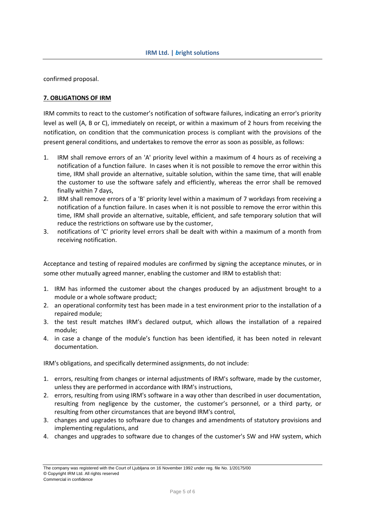confirmed proposal.

#### **7. OBLIGATIONS OF IRM**

IRM commits to react to the customer's notification of software failures, indicating an error's priority level as well (A, B or C), immediately on receipt, or within a maximum of 2 hours from receiving the notification, on condition that the communication process is compliant with the provisions of the present general conditions, and undertakes to remove the error as soon as possible, as follows:

- 1. IRM shall remove errors of an 'A' priority level within a maximum of 4 hours as of receiving a notification of a function failure. In cases when it is not possible to remove the error within this time, IRM shall provide an alternative, suitable solution, within the same time, that will enable the customer to use the software safely and efficiently, whereas the error shall be removed finally within 7 days,
- 2. IRM shall remove errors of a 'B' priority level within a maximum of 7 workdays from receiving a notification of a function failure. In cases when it is not possible to remove the error within this time, IRM shall provide an alternative, suitable, efficient, and safe temporary solution that will reduce the restrictions on software use by the customer,
- 3. notifications of 'C' priority level errors shall be dealt with within a maximum of a month from receiving notification.

Acceptance and testing of repaired modules are confirmed by signing the acceptance minutes, or in some other mutually agreed manner, enabling the customer and IRM to establish that:

- 1. IRM has informed the customer about the changes produced by an adjustment brought to a module or a whole software product;
- 2. an operational conformity test has been made in a test environment prior to the installation of a repaired module;
- 3. the test result matches IRM's declared output, which allows the installation of a repaired module;
- 4. in case a change of the module's function has been identified, it has been noted in relevant documentation.

IRM's obligations, and specifically determined assignments, do not include:

- 1. errors, resulting from changes or internal adjustments of IRM's software, made by the customer, unless they are performed in accordance with IRM's instructions,
- 2. errors, resulting from using IRM's software in a way other than described in user documentation, resulting from negligence by the customer, the customer's personnel, or a third party, or resulting from other circumstances that are beyond IRM's control,
- 3. changes and upgrades to software due to changes and amendments of statutory provisions and implementing regulations, and
- 4. changes and upgrades to software due to changes of the customer's SW and HW system, which